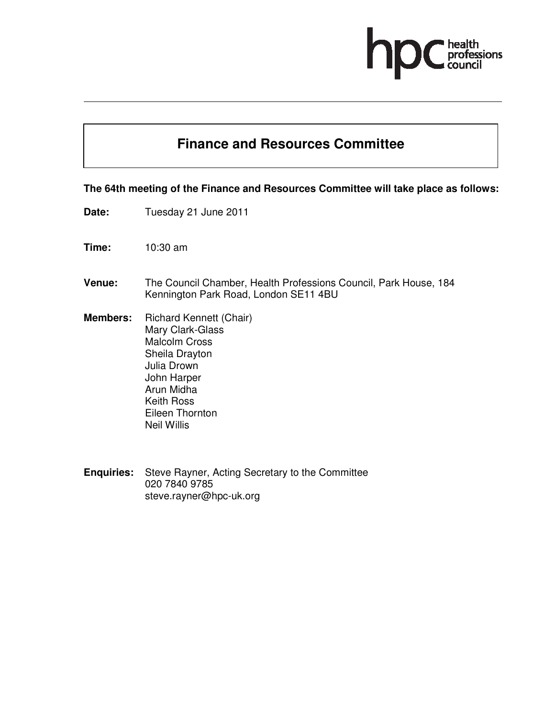# professions

## **Finance and Resources Committee**

### **The 64th meeting of the Finance and Resources Committee will take place as follows:**

- **Date:** Tuesday 21 June 2011
- **Time:** 10:30 am
- **Venue:** The Council Chamber, Health Professions Council, Park House, 184 Kennington Park Road, London SE11 4BU
- **Members:** Richard Kennett (Chair) Mary Clark-Glass Malcolm Cross Sheila Drayton Julia Drown John Harper Arun Midha Keith Ross Eileen Thornton Neil Willis
- **Enquiries:** Steve Rayner, Acting Secretary to the Committee 020 7840 9785 steve.rayner@hpc-uk.org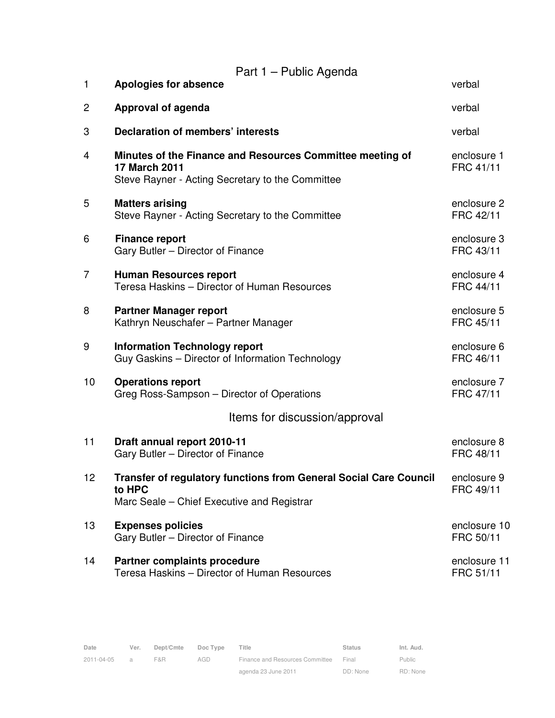|    | Part 1 - Public Agenda                                                                                                         |                           |  |  |  |
|----|--------------------------------------------------------------------------------------------------------------------------------|---------------------------|--|--|--|
| 1  | <b>Apologies for absence</b>                                                                                                   | verbal                    |  |  |  |
| 2  | <b>Approval of agenda</b>                                                                                                      | verbal                    |  |  |  |
| 3  | <b>Declaration of members' interests</b>                                                                                       | verbal                    |  |  |  |
| 4  | Minutes of the Finance and Resources Committee meeting of<br>17 March 2011<br>Steve Rayner - Acting Secretary to the Committee | enclosure 1<br>FRC 41/11  |  |  |  |
| 5  | <b>Matters arising</b><br>Steve Rayner - Acting Secretary to the Committee                                                     | enclosure 2<br>FRC 42/11  |  |  |  |
| 6  | <b>Finance report</b><br>Gary Butler - Director of Finance                                                                     | enclosure 3<br>FRC 43/11  |  |  |  |
| 7  | <b>Human Resources report</b><br>Teresa Haskins - Director of Human Resources                                                  | enclosure 4<br>FRC 44/11  |  |  |  |
| 8  | <b>Partner Manager report</b><br>Kathryn Neuschafer - Partner Manager                                                          | enclosure 5<br>FRC 45/11  |  |  |  |
| 9  | <b>Information Technology report</b><br>Guy Gaskins - Director of Information Technology                                       | enclosure 6<br>FRC 46/11  |  |  |  |
| 10 | <b>Operations report</b><br>Greg Ross-Sampson - Director of Operations                                                         | enclosure 7<br>FRC 47/11  |  |  |  |
|    | Items for discussion/approval                                                                                                  |                           |  |  |  |
| 11 | Draft annual report 2010-11<br>Gary Butler - Director of Finance                                                               | enclosure 8<br>FRC 48/11  |  |  |  |
| 12 | Transfer of regulatory functions from General Social Care Council<br>to HPC<br>Marc Seale – Chief Executive and Registrar      | enclosure 9<br>FRC 49/11  |  |  |  |
| 13 | <b>Expenses policies</b><br>Gary Butler - Director of Finance                                                                  | enclosure 10<br>FRC 50/11 |  |  |  |
| 14 | Partner complaints procedure<br>Teresa Haskins - Director of Human Resources                                                   | enclosure 11<br>FRC 51/11 |  |  |  |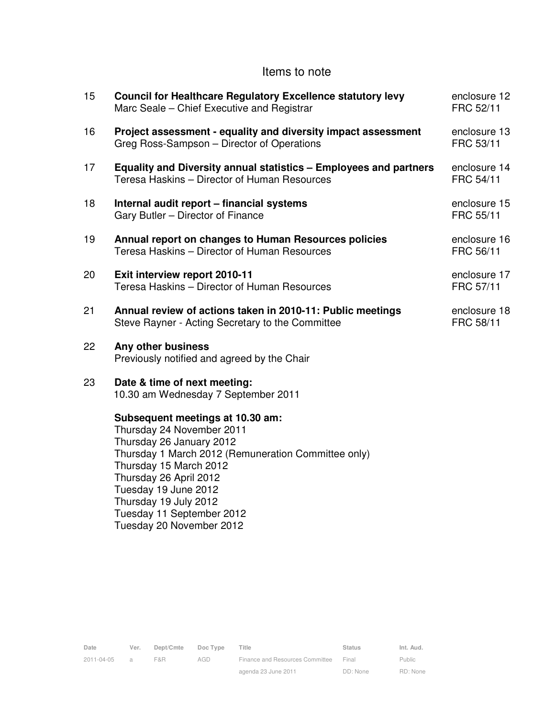## Items to note

| 15 | <b>Council for Healthcare Regulatory Excellence statutory levy</b><br>Marc Seale – Chief Executive and Registrar                                                                                                                                                                                               | enclosure 12<br>FRC 52/11 |
|----|----------------------------------------------------------------------------------------------------------------------------------------------------------------------------------------------------------------------------------------------------------------------------------------------------------------|---------------------------|
| 16 | Project assessment - equality and diversity impact assessment<br>Greg Ross-Sampson - Director of Operations                                                                                                                                                                                                    | enclosure 13<br>FRC 53/11 |
| 17 | <b>Equality and Diversity annual statistics - Employees and partners</b><br>Teresa Haskins - Director of Human Resources                                                                                                                                                                                       | enclosure 14<br>FRC 54/11 |
| 18 | Internal audit report - financial systems<br>Gary Butler - Director of Finance                                                                                                                                                                                                                                 | enclosure 15<br>FRC 55/11 |
| 19 | Annual report on changes to Human Resources policies<br>Teresa Haskins - Director of Human Resources                                                                                                                                                                                                           | enclosure 16<br>FRC 56/11 |
| 20 | Exit interview report 2010-11<br>Teresa Haskins - Director of Human Resources                                                                                                                                                                                                                                  | enclosure 17<br>FRC 57/11 |
| 21 | Annual review of actions taken in 2010-11: Public meetings<br>Steve Rayner - Acting Secretary to the Committee                                                                                                                                                                                                 | enclosure 18<br>FRC 58/11 |
| 22 | Any other business<br>Previously notified and agreed by the Chair                                                                                                                                                                                                                                              |                           |
| 23 | Date & time of next meeting:<br>10.30 am Wednesday 7 September 2011                                                                                                                                                                                                                                            |                           |
|    | Subsequent meetings at 10.30 am:<br>Thursday 24 November 2011<br>Thursday 26 January 2012<br>Thursday 1 March 2012 (Remuneration Committee only)<br>Thursday 15 March 2012<br>Thursday 26 April 2012<br>Tuesday 19 June 2012<br>Thursday 19 July 2012<br>Tuesday 11 September 2012<br>Tuesday 20 November 2012 |                           |